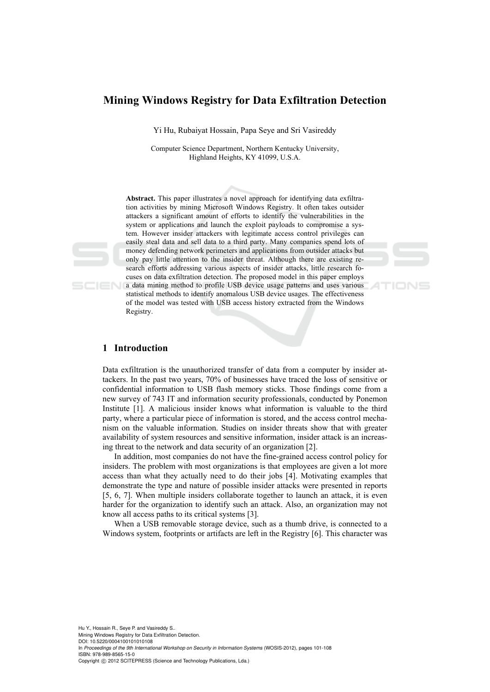# **Mining Windows Registry for Data Exfiltration Detection**

Yi Hu, Rubaiyat Hossain, Papa Seye and Sri Vasireddy

Computer Science Department, Northern Kentucky University, Highland Heights, KY 41099, U.S.A.

**Abstract.** This paper illustrates a novel approach for identifying data exfiltration activities by mining Microsoft Windows Registry. It often takes outsider attackers a significant amount of efforts to identify the vulnerabilities in the system or applications and launch the exploit payloads to compromise a system. However insider attackers with legitimate access control privileges can easily steal data and sell data to a third party. Many companies spend lots of money defending network perimeters and applications from outsider attacks but only pay little attention to the insider threat. Although there are existing research efforts addressing various aspects of insider attacks, little research focuses on data exfiltration detection. The proposed model in this paper employs **a** data mining method to profile USB device usage patterns and uses various statistical methods to identify anomalous USB device usages. The effectiveness of the model was tested with USB access history extracted from the Windows Registry.

## **1 Introduction**

Data exfiltration is the unauthorized transfer of data from a computer by insider attackers. In the past two years, 70% of businesses have traced the loss of sensitive or confidential information to USB flash memory sticks. Those findings come from a new survey of 743 IT and information security professionals, conducted by Ponemon Institute [1]. A malicious insider knows what information is valuable to the third party, where a particular piece of information is stored, and the access control mechanism on the valuable information. Studies on insider threats show that with greater availability of system resources and sensitive information, insider attack is an increasing threat to the network and data security of an organization [2].

In addition, most companies do not have the fine-grained access control policy for insiders. The problem with most organizations is that employees are given a lot more access than what they actually need to do their jobs [4]. Motivating examples that demonstrate the type and nature of possible insider attacks were presented in reports [5, 6, 7]. When multiple insiders collaborate together to launch an attack, it is even harder for the organization to identify such an attack. Also, an organization may not know all access paths to its critical systems [3].

When a USB removable storage device, such as a thumb drive, is connected to a Windows system, footprints or artifacts are left in the Registry [6]. This character was

Hu Y., Hossain R., Seye P. and Vasireddy S.. Mining Windows Registry for Data Exfiltration Detection. DOI: 10.5220/0004100101010108 In *Proceedings of the 9th International Workshop on Security in Information Systems* (WOSIS-2012), pages 101-108 ISBN: 978-989-8565-15-0 Copyright © 2012 SCITEPRESS (Science and Technology Publications, Lda.)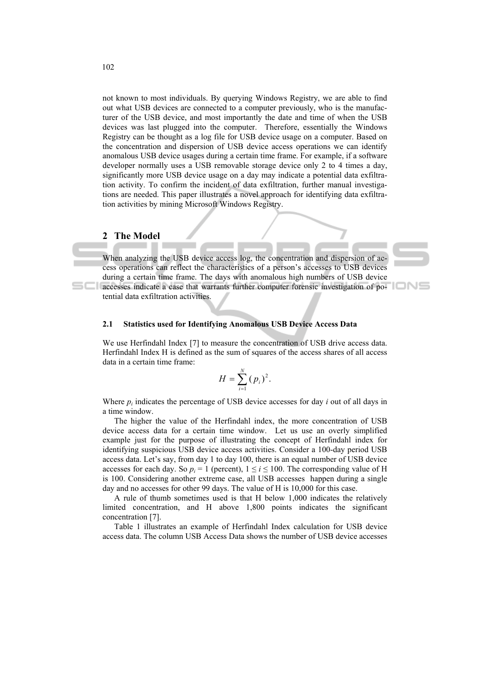not known to most individuals. By querying Windows Registry, we are able to find out what USB devices are connected to a computer previously, who is the manufacturer of the USB device, and most importantly the date and time of when the USB devices was last plugged into the computer. Therefore, essentially the Windows Registry can be thought as a log file for USB device usage on a computer. Based on the concentration and dispersion of USB device access operations we can identify anomalous USB device usages during a certain time frame. For example, if a software developer normally uses a USB removable storage device only 2 to 4 times a day, significantly more USB device usage on a day may indicate a potential data exfiltration activity. To confirm the incident of data exfiltration, further manual investigations are needed. This paper illustrates a novel approach for identifying data exfiltration activities by mining Microsoft Windows Registry.

### **2 The Model**

When analyzing the USB device access log, the concentration and dispersion of access operations can reflect the characteristics of a person's accesses to USB devices during a certain time frame. The days with anomalous high numbers of USB device accesses indicate a case that warrants further computer forensic investigation of potential data exfiltration activities.

#### **2.1 Statistics used for Identifying Anomalous USB Device Access Data**

We use Herfindahl Index [7] to measure the concentration of USB drive access data. Herfindahl Index H is defined as the sum of squares of the access shares of all access data in a certain time frame:

$$
H=\sum_{i=1}^N (p_i)^2.
$$

Where *pi* indicates the percentage of USB device accesses for day *i* out of all days in a time window.

The higher the value of the Herfindahl index, the more concentration of USB device access data for a certain time window. Let us use an overly simplified example just for the purpose of illustrating the concept of Herfindahl index for identifying suspicious USB device access activities. Consider a 100-day period USB access data. Let's say, from day 1 to day 100, there is an equal number of USB device accesses for each day. So  $p_i = 1$  (percent),  $1 \le i \le 100$ . The corresponding value of H is 100. Considering another extreme case, all USB accesses happen during a single day and no accesses for other 99 days. The value of H is 10,000 for this case.

A rule of thumb sometimes used is that H below 1,000 indicates the relatively limited concentration, and H above 1,800 points indicates the significant concentration [7].

Table 1 illustrates an example of Herfindahl Index calculation for USB device access data. The column USB Access Data shows the number of USB device accesses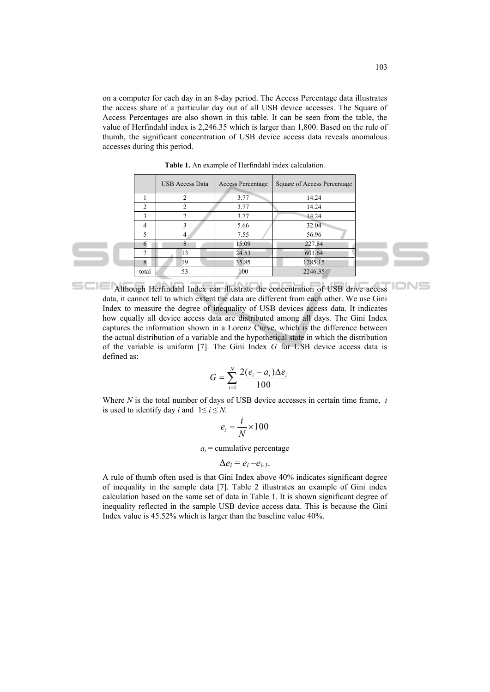on a computer for each day in an 8-day period. The Access Percentage data illustrates the access share of a particular day out of all USB device accesses. The Square of Access Percentages are also shown in this table. It can be seen from the table, the value of Herfindahl index is 2,246.35 which is larger than 1,800. Based on the rule of thumb, the significant concentration of USB device access data reveals anomalous accesses during this period.

|               | <b>USB Access Data</b> | Access Percentage | Square of Access Percentage |
|---------------|------------------------|-------------------|-----------------------------|
|               | 2                      | 3.77              | 14.24                       |
| $\mathcal{L}$ |                        | 3.77              | 14.24                       |
| 3             |                        | 3.77              | 14.24                       |
| 4             | 3                      | 5.66              | 32.04                       |
| 5             |                        | 7.55              | 56.96                       |
| 6             | 8                      | 15.09             | 227.84                      |
| 7             | 13                     | 24.53             | 601.64                      |
| 8             | 19                     | 35.85             | 1285.15                     |
| total         | 53                     | 100               | 2246.35                     |

**Table 1.** An example of Herfindahl index calculation.

Although Herfindahl Index can illustrate the concentration of USB drive access data, it cannot tell to which extent the data are different from each other. We use Gini Index to measure the degree of inequality of USB devices access data. It indicates how equally all device access data are distributed among all days. The Gini Index captures the information shown in a Lorenz Curve, which is the difference between the actual distribution of a variable and the hypothetical state in which the distribution of the variable is uniform [7]. The Gini Index *G* for USB device access data is defined as:

$$
G = \sum_{i=1}^{N} \frac{2(e_i - a_i)\Delta e_i}{100}
$$

Where *N* is the total number of days of USB device accesses in certain time frame, *i*  is used to identify day *i* and  $1 \le i \le N$ .

$$
e_i = \frac{i}{N} \times 100
$$

 $a_i$  = cumulative percentage

$$
\Delta e_i = e_i - e_{i-1}.
$$

A rule of thumb often used is that Gini Index above 40% indicates significant degree of inequality in the sample data [7]. Table 2 illustrates an example of Gini index calculation based on the same set of data in Table 1. It is shown significant degree of inequality reflected in the sample USB device access data. This is because the Gini Index value is 45.52% which is larger than the baseline value 40%.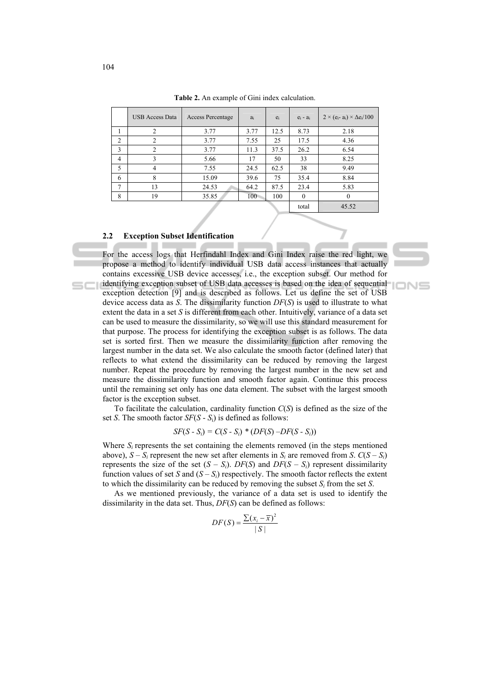|        | <b>USB Access Data</b> | <b>Access Percentage</b> | $a_i$ | $e_i$ | $e_i - a_i$ | $2 \times (e_i - a_i) \times \Delta e_i / 100$ |
|--------|------------------------|--------------------------|-------|-------|-------------|------------------------------------------------|
|        | 2                      | 3.77                     | 3.77  | 12.5  | 8.73        | 2.18                                           |
| 2      | 2                      | 3.77                     | 7.55  | 25    | 17.5        | 4.36                                           |
| 3      | 2                      | 3.77                     | 11.3  | 37.5  | 26.2        | 6.54                                           |
| 4      | 3                      | 5.66                     | 17    | 50    | 33          | 8.25                                           |
| 5      | $\overline{4}$         | 7.55                     | 24.5  | 62.5  | 38          | 9.49                                           |
| 6      | 8                      | 15.09                    | 39.6  | 75    | 35.4        | 8.84                                           |
| $\tau$ | 13                     | 24.53                    | 64.2  | 87.5  | 23.4        | 5.83                                           |
| 8      | 19                     | 35.85                    | 100   | 100   | $\Omega$    | $\theta$                                       |
|        |                        |                          |       |       | total       | 45.52                                          |

**Table 2.** An example of Gini index calculation.

### **2.2 Exception Subset Identification**

For the access logs that Herfindahl Index and Gini Index raise the red light, we propose a method to identify individual USB data access instances that actually contains excessive USB device accesses, i.e., the exception subset. Our method for identifying exception subset of USB data accesses is based on the idea of sequential exception detection [9] and is described as follows. Let us define the set of USB device access data as *S*. The dissimilarity function *DF*(*S*) is used to illustrate to what extent the data in a set *S* is different from each other. Intuitively, variance of a data set can be used to measure the dissimilarity, so we will use this standard measurement for that purpose. The process for identifying the exception subset is as follows. The data set is sorted first. Then we measure the dissimilarity function after removing the largest number in the data set. We also calculate the smooth factor (defined later) that reflects to what extend the dissimilarity can be reduced by removing the largest number. Repeat the procedure by removing the largest number in the new set and measure the dissimilarity function and smooth factor again. Continue this process until the remaining set only has one data element. The subset with the largest smooth factor is the exception subset.

IONE

To facilitate the calculation, cardinality function *C*(*S*) is defined as the size of the set *S*. The smooth factor *SF*(*S* - *S*i) is defined as follows:

$$
SF(S - S_i) = C(S - S_i) * (DF(S) - DF(S - S_i))
$$

Where  $S_i$  represents the set containing the elements removed (in the steps mentioned above),  $S - S_i$  represent the new set after elements in  $S_i$  are removed from *S*.  $C(S - S_i)$ represents the size of the set  $(S - S_i)$ . *DF(S)* and *DF(S – S<sub>i</sub>)* represent dissimilarity function values of set *S* and  $(S - S_i)$  respectively. The smooth factor reflects the extent to which the dissimilarity can be reduced by removing the subset  $S_i$  from the set  $S_i$ .

As we mentioned previously, the variance of a data set is used to identify the dissimilarity in the data set. Thus, *DF*(*S*) can be defined as follows:

$$
DF(S) = \frac{\sum (x_i - \overline{x})^2}{|S|}
$$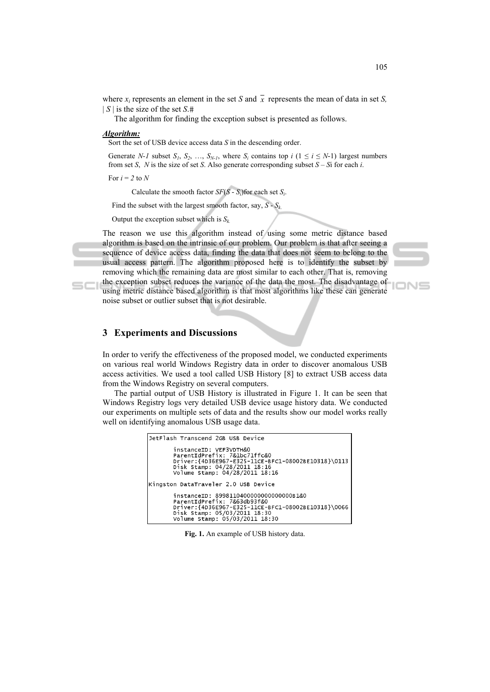where  $x_i$  represents an element in the set *S* and  $\overline{x}$  represents the mean of data in set *S*,  $| S |$  is the size of the set  $S$ .#

The algorithm for finding the exception subset is presented as follows.

#### *Algorithm:*

Sort the set of USB device access data *S* in the descending order.

Generate *N-1* subset  $S_1$ ,  $S_2$ , ...,  $S_{N-1}$ , where  $S_i$  contains top  $i$  ( $1 \le i \le N-1$ ) largest numbers from set *S*, *N* is the size of set *S*. Also generate corresponding subset *S* – *S*i for each *i*.

For  $i = 2$  to  $N$ 

Calculate the smooth factor  $SF(S - S_i)$  for each set  $S_i$ .

Find the subset with the largest smooth factor, say,  $S - S_k$ .

Output the exception subset which is  $S_k$ .

The reason we use this algorithm instead of using some metric distance based algorithm is based on the intrinsic of our problem. Our problem is that after seeing a sequence of device access data, finding the data that does not seem to belong to the usual access pattern. The algorithm proposed here is to identify the subset by removing which the remaining data are most similar to each other. That is, removing the exception subset reduces the variance of the data the most. The disadvantage of

using metric distance based algorithm is that most algorithms like these can generate noise subset or outlier subset that is not desirable.

# **3 Experiments and Discussions**

In order to verify the effectiveness of the proposed model, we conducted experiments on various real world Windows Registry data in order to discover anomalous USB access activities. We used a tool called USB History [8] to extract USB access data from the Windows Registry on several computers.

The partial output of USB History is illustrated in Figure 1. It can be seen that Windows Registry logs very detailed USB device usage history data. We conducted our experiments on multiple sets of data and the results show our model works really well on identifying anomalous USB usage data.

```
JetFlash Transcend 2GB USB Device
              instanceID: VEF3VDTH&O<br>ParentIdPrefix: 7&1bc71ffc&O<br>Driver:{4D36E967-E325-11CE-BFC1-08002BE10318}\0113<br>Disk Stamp: 04/28/2011 18:16
               Volume Stamp: 04/28/2011 18:16
Kingston DataTraveler 2.0 USB Device
              instanceID: 8998110400000000000000B1&0<br>ParentIdPrefix: 7&63db93f&0<br>Driver:{4D36E967-E325-11CE-BFC1-08002BE10318}\0066<br>Disk Stamp: 05/03/2011 18:30<br>Volume Stamp: 05/03/2011 18:30
```
**Fig. 1.** An example of USB history data.

IONS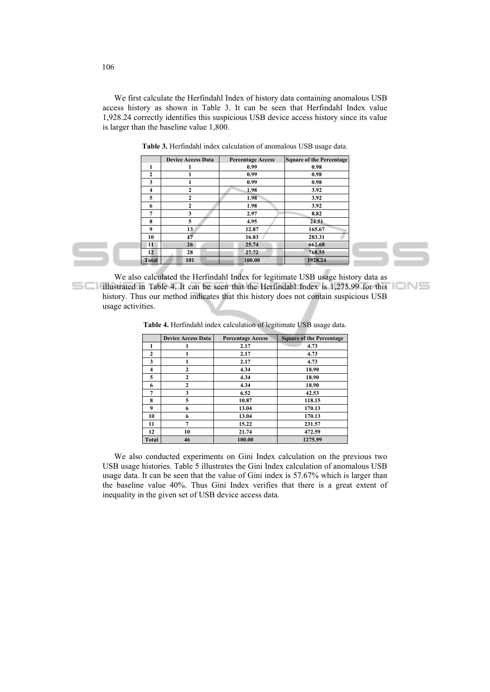We first calculate the Herfindahl Index of history data containing anomalous USB access history as shown in Table 3. It can be seen that Herfindahl Index value 1,928.24 correctly identifies this suspicious USB device access history since its value is larger than the baseline value 1,800.

|              | <b>Device Access Data</b> | <b>Percentage Access</b> | <b>Square of the Percentage</b> |
|--------------|---------------------------|--------------------------|---------------------------------|
| 1            |                           | 0.99                     | 0.98                            |
| $\mathbf{2}$ |                           | 0.99                     | 0.98                            |
| 3            |                           | 0.99                     | 0.98                            |
| 4            | $\mathbf{2}$              | 1.98                     | 3.92                            |
| 5            | $\mathbf{2}$              | 1.98                     | 3.92                            |
| 6            | $\mathbf{2}$              | 1.98                     | 3.92                            |
| 7            | 3                         | 2.97                     | 8.82                            |
| 8            | 5                         | 4.95                     | 24.51                           |
| 9            | 13                        | 12.87                    | 165.67                          |
| 10           | 17                        | 16.83                    | 283.31                          |
| 11           | 26                        | 25.74                    | 662.68                          |
| 12           | 28                        | 27.72                    | 768.55                          |
| <b>Total</b> | 101                       | 100.00                   | 1928.24                         |

**Table 3.** Herfindahl index calculation of anomalous USB usage data.

We also calculated the Herfindahl Index for legitimate USB usage history data as illustrated in Table 4. It can be seen that the Herfindahl Index is 1,275.99 for this history. Thus our method indicates that this history does not contain suspicious USB usage activities.

|  |  |  |  | Table 4. Herfindahl index calculation of legitimate USB usage data. |  |  |
|--|--|--|--|---------------------------------------------------------------------|--|--|
|--|--|--|--|---------------------------------------------------------------------|--|--|

|                         | <b>Device Access Data</b> | <b>Percentage Access</b> | <b>Square of the Percentage</b> |
|-------------------------|---------------------------|--------------------------|---------------------------------|
|                         | 1                         | 2.17                     | 4.73                            |
| $\mathbf{2}$            |                           | 2.17                     | 4.73                            |
| 3                       | 1                         | 2.17                     | 4.73                            |
| $\overline{\mathbf{4}}$ | $\mathbf{2}$              | 4.34                     | 18.90                           |
| 5                       | $\overline{2}$            | 4.34                     | 18.90                           |
| 6                       | $\mathbf{2}$              | 4.34                     | 18.90                           |
| 7                       | 3                         | 6.52                     | 42.53                           |
| 8                       | 5                         | 10.87                    | 118.15                          |
| 9                       | 6                         | 13.04                    | 170.13                          |
| 10                      | 6                         | 13.04                    | 170.13                          |
| 11                      | $\overline{7}$            | 15.22                    | 231.57                          |
| 12                      | 10                        | 21.74                    | 472.59                          |
| Total                   | 46                        | 100.00                   | 1275.99                         |

We also conducted experiments on Gini Index calculation on the previous two USB usage histories. Table 5 illustrates the Gini Index calculation of anomalous USB usage data. It can be seen that the value of Gini index is 57.67% which is larger than the baseline value 40%. Thus Gini Index verifies that there is a great extent of inequality in the given set of USB device access data.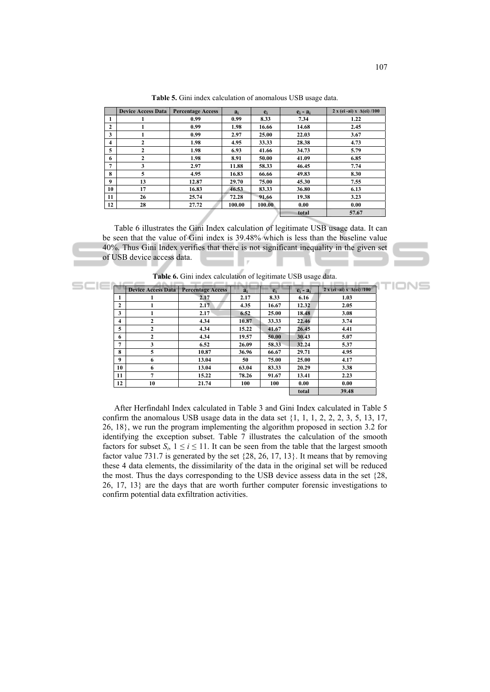|              | <b>Device Access Data</b> | <b>Percentage Access</b> | $a_i$  | $e_i$  | $e_i - a_i$ | $2 x (ei-ai) x \Delta(ei) / 100$ |
|--------------|---------------------------|--------------------------|--------|--------|-------------|----------------------------------|
|              |                           | 0.99                     | 0.99   | 8.33   | 7.34        | 1.22                             |
| $\mathbf{2}$ |                           | 0.99                     | 1.98   | 16.66  | 14.68       | 2.45                             |
| 3            |                           | 0.99                     | 2.97   | 25.00  | 22.03       | 3.67                             |
| 4            | $\mathbf{2}$              | 1.98                     | 4.95   | 33.33  | 28.38       | 4.73                             |
| 5            | 2                         | 1.98                     | 6.93   | 41.66  | 34.73       | 5.79                             |
| 6            | $\mathbf{2}$              | 1.98                     | 8.91   | 50.00  | 41.09       | 6.85                             |
| 7            | 3                         | 2.97                     | 11.88  | 58.33  | 46.45       | 7.74                             |
| 8            | 5                         | 4.95                     | 16.83  | 66.66  | 49.83       | 8.30                             |
| 9            | 13                        | 12.87                    | 29.70  | 75.00  | 45.30       | 7.55                             |
| 10           | 17                        | 16.83                    | 46.53  | 83.33  | 36.80       | 6.13                             |
| 11           | 26                        | 25.74                    | 72.28  | 91.66  | 19.38       | 3.23                             |
| 12           | 28                        | 27.72                    | 100.00 | 100.00 | 0.00        | 0.00                             |
|              |                           |                          | total  | 57.67  |             |                                  |

**Table 5.** Gini index calculation of anomalous USB usage data.

Table 6 illustrates the Gini Index calculation of legitimate USB usage data. It can be seen that the value of Gini index is 39.48% which is less than the baseline value 40%. Thus Gini Index verifies that there is not significant inequality in the given set of USB device access data.

**Table 6.** Gini index calculation of legitimate USB usage data.

|                | <b>Device Access Data</b> | <b>Percentage Access</b> | $\overline{a_i}$ | $e_i$ | $e_i - a_i$ | $2 x (ei - ai) x \Delta(ei) / 100$ |
|----------------|---------------------------|--------------------------|------------------|-------|-------------|------------------------------------|
| 1              |                           | 2.17                     | 2.17             | 8.33  | 6.16        | 1.03                               |
| $\mathbf{2}$   |                           | 2.17                     | 4.35             | 16.67 | 12.32       | 2.05                               |
| 3              |                           | 2.17                     | 6.52             | 25.00 | 18.48       | 3.08                               |
| 4              | $\mathbf{2}$              | 4.34                     | 10.87            | 33.33 | 22.46       | 3.74                               |
| 5              | 2                         | 4.34                     | 15.22            | 41.67 | 26.45       | 4.41                               |
| 6              | 2                         | 4.34                     | 19.57            | 50.00 | 30.43       | 5.07                               |
| $\overline{7}$ | 3                         | 6.52                     | 26.09            | 58.33 | 32.24       | 5.37                               |
| 8              | 5                         | 10.87                    | 36.96            | 66.67 | 29.71       | 4.95                               |
| 9              | 6                         | 13.04                    | 50               | 75.00 | 25.00       | 4.17                               |
| 10             | 6                         | 13.04                    | 63.04            | 83.33 | 20.29       | 3.38                               |
| 11             | $\overline{ }$            | 15.22                    | 78.26            | 91.67 | 13.41       | 2.23                               |
| 12             | 10                        | 21.74                    | 100              | 100   | 0.00        | 0.00                               |
|                |                           |                          |                  |       | total       | 39.48                              |

After Herfindahl Index calculated in Table 3 and Gini Index calculated in Table 5 confirm the anomalous USB usage data in the data set {1, 1, 1, 2, 2, 2, 3, 5, 13, 17, 26, 18}, we run the program implementing the algorithm proposed in section 3.2 for identifying the exception subset. Table 7 illustrates the calculation of the smooth factors for subset  $S_i$ ,  $1 \le i \le 11$ . It can be seen from the table that the largest smooth factor value 731.7 is generated by the set {28, 26, 17, 13}. It means that by removing these 4 data elements, the dissimilarity of the data in the original set will be reduced the most. Thus the days corresponding to the USB device assess data in the set {28, 26, 17, 13} are the days that are worth further computer forensic investigations to confirm potential data exfiltration activities.